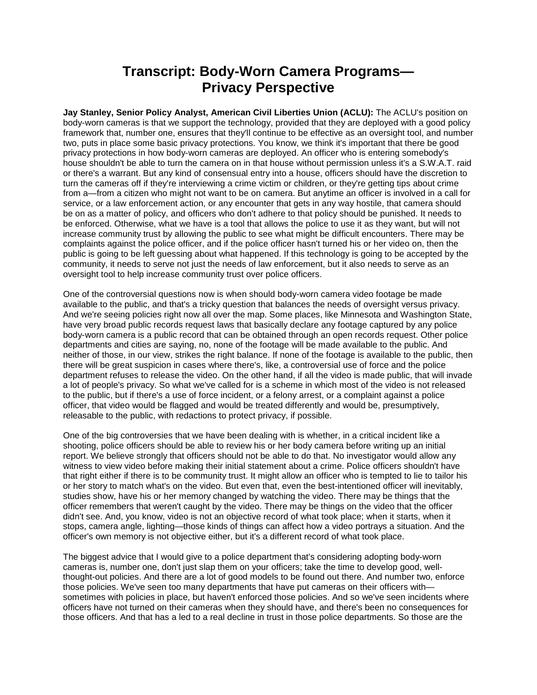## **Transcript: Body-Worn Camera Programs— Privacy Perspective**

**Jay Stanley, Senior Policy Analyst, American Civil Liberties Union (ACLU):** The ACLU's position on body-worn cameras is that we support the technology, provided that they are deployed with a good policy framework that, number one, ensures that they'll continue to be effective as an oversight tool, and number two, puts in place some basic privacy protections. You know, we think it's important that there be good privacy protections in how body-worn cameras are deployed. An officer who is entering somebody's house shouldn't be able to turn the camera on in that house without permission unless it's a S.W.A.T. raid or there's a warrant. But any kind of consensual entry into a house, officers should have the discretion to turn the cameras off if they're interviewing a crime victim or children, or they're getting tips about crime from a—from a citizen who might not want to be on camera. But anytime an officer is involved in a call for service, or a law enforcement action, or any encounter that gets in any way hostile, that camera should be on as a matter of policy, and officers who don't adhere to that policy should be punished. It needs to be enforced. Otherwise, what we have is a tool that allows the police to use it as they want, but will not increase community trust by allowing the public to see what might be difficult encounters. There may be complaints against the police officer, and if the police officer hasn't turned his or her video on, then the public is going to be left guessing about what happened. If this technology is going to be accepted by the community, it needs to serve not just the needs of law enforcement, but it also needs to serve as an oversight tool to help increase community trust over police officers.

One of the controversial questions now is when should body-worn camera video footage be made available to the public, and that's a tricky question that balances the needs of oversight versus privacy. And we're seeing policies right now all over the map. Some places, like Minnesota and Washington State, have very broad public records request laws that basically declare any footage captured by any police body-worn camera is a public record that can be obtained through an open records request. Other police departments and cities are saying, no, none of the footage will be made available to the public. And neither of those, in our view, strikes the right balance. If none of the footage is available to the public, then there will be great suspicion in cases where there's, like, a controversial use of force and the police department refuses to release the video. On the other hand, if all the video is made public, that will invade a lot of people's privacy. So what we've called for is a scheme in which most of the video is not released to the public, but if there's a use of force incident, or a felony arrest, or a complaint against a police officer, that video would be flagged and would be treated differently and would be, presumptively, releasable to the public, with redactions to protect privacy, if possible.

One of the big controversies that we have been dealing with is whether, in a critical incident like a shooting, police officers should be able to review his or her body camera before writing up an initial report. We believe strongly that officers should not be able to do that. No investigator would allow any witness to view video before making their initial statement about a crime. Police officers shouldn't have that right either if there is to be community trust. It might allow an officer who is tempted to lie to tailor his or her story to match what's on the video. But even that, even the best-intentioned officer will inevitably, studies show, have his or her memory changed by watching the video. There may be things that the officer remembers that weren't caught by the video. There may be things on the video that the officer didn't see. And, you know, video is not an objective record of what took place; when it starts, when it stops, camera angle, lighting—those kinds of things can affect how a video portrays a situation. And the officer's own memory is not objective either, but it's a different record of what took place.

The biggest advice that I would give to a police department that's considering adopting body-worn cameras is, number one, don't just slap them on your officers; take the time to develop good, wellthought-out policies. And there are a lot of good models to be found out there. And number two, enforce those policies. We've seen too many departments that have put cameras on their officers with sometimes with policies in place, but haven't enforced those policies. And so we've seen incidents where officers have not turned on their cameras when they should have, and there's been no consequences for those officers. And that has a led to a real decline in trust in those police departments. So those are the